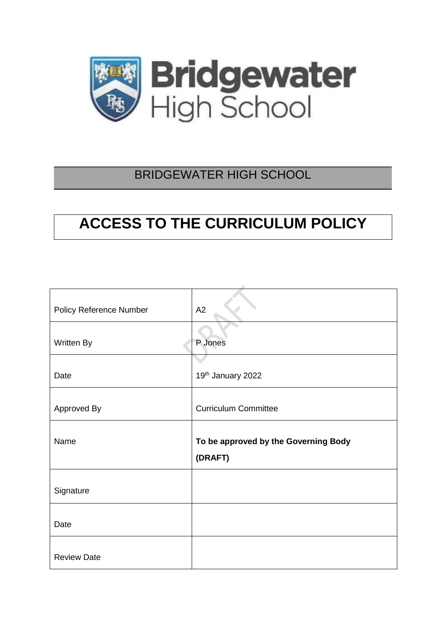

# BRIDGEWATER HIGH SCHOOL

# **ACCESS TO THE CURRICULUM POLICY**

| <b>Policy Reference Number</b> | A2                                   |
|--------------------------------|--------------------------------------|
| Written By                     | P Jones                              |
| Date                           | 19th January 2022                    |
| Approved By                    | <b>Curriculum Committee</b>          |
| Name                           | To be approved by the Governing Body |
|                                | (DRAFT)                              |
| Signature                      |                                      |
| Date                           |                                      |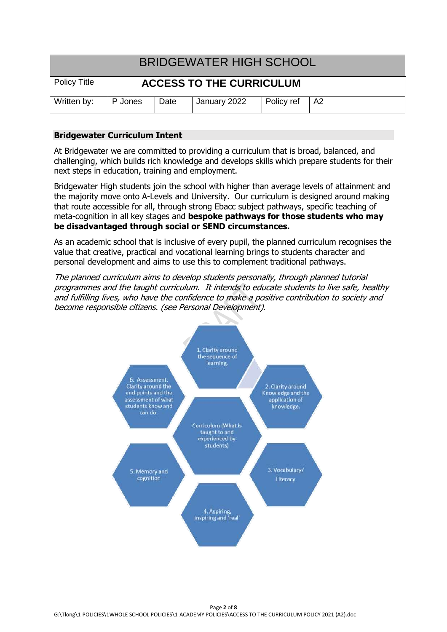| <b>BRIDGEWATER HIGH SCHOOL</b>                  |         |      |              |            |      |
|-------------------------------------------------|---------|------|--------------|------------|------|
| Policy Title<br><b>ACCESS TO THE CURRICULUM</b> |         |      |              |            |      |
| Written by:                                     | P Jones | Date | January 2022 | Policy ref | l A2 |

# **Bridgewater Curriculum Intent**

At Bridgewater we are committed to providing a curriculum that is broad, balanced, and challenging, which builds rich knowledge and develops skills which prepare students for their next steps in education, training and employment.

Bridgewater High students join the school with higher than average levels of attainment and the majority move onto A-Levels and University. Our curriculum is designed around making that route accessible for all, through strong Ebacc subject pathways, specific teaching of meta-cognition in all key stages and **bespoke pathways for those students who may be disadvantaged through social or SEND circumstances.** 

As an academic school that is inclusive of every pupil, the planned curriculum recognises the value that creative, practical and vocational learning brings to students character and personal development and aims to use this to complement traditional pathways.

The planned curriculum aims to develop students personally, through planned tutorial programmes and the taught curriculum. It intends to educate students to live safe, healthy and fulfilling lives, who have the confidence to make a positive contribution to society and become responsible citizens. (see Personal Development).

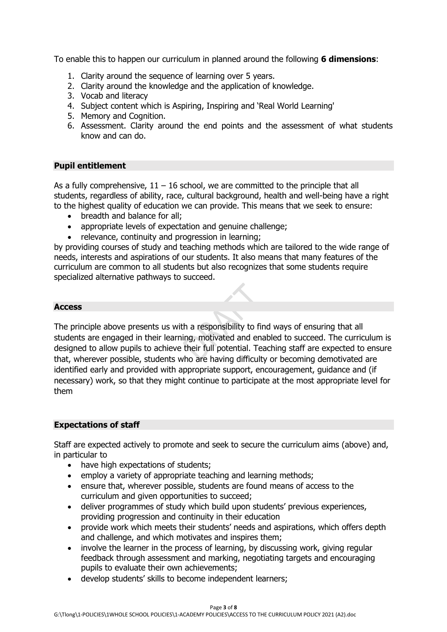To enable this to happen our curriculum in planned around the following **6 dimensions**:

- 1. Clarity around the sequence of learning over 5 years.
- 2. Clarity around the knowledge and the application of knowledge.
- 3. Vocab and literacy
- 4. Subject content which is Aspiring, Inspiring and 'Real World Learning'
- 5. Memory and Cognition.
- 6. Assessment. Clarity around the end points and the assessment of what students know and can do.

# **Pupil entitlement**

As a fully comprehensive,  $11 - 16$  school, we are committed to the principle that all students, regardless of ability, race, cultural background, health and well-being have a right to the highest quality of education we can provide. This means that we seek to ensure:

- breadth and balance for all;
- appropriate levels of expectation and genuine challenge;
- relevance, continuity and progression in learning;

by providing courses of study and teaching methods which are tailored to the wide range of needs, interests and aspirations of our students. It also means that many features of the curriculum are common to all students but also recognizes that some students require specialized alternative pathways to succeed.

# **Access**

The principle above presents us with a responsibility to find ways of ensuring that all students are engaged in their learning, motivated and enabled to succeed. The curriculum is designed to allow pupils to achieve their full potential. Teaching staff are expected to ensure that, wherever possible, students who are having difficulty or becoming demotivated are identified early and provided with appropriate support, encouragement, guidance and (if necessary) work, so that they might continue to participate at the most appropriate level for them

# **Expectations of staff**

Staff are expected actively to promote and seek to secure the curriculum aims (above) and, in particular to

- have high expectations of students;
- employ a variety of appropriate teaching and learning methods;
- ensure that, wherever possible, students are found means of access to the curriculum and given opportunities to succeed;
- deliver programmes of study which build upon students' previous experiences, providing progression and continuity in their education
- provide work which meets their students' needs and aspirations, which offers depth and challenge, and which motivates and inspires them;
- involve the learner in the process of learning, by discussing work, giving regular feedback through assessment and marking, negotiating targets and encouraging pupils to evaluate their own achievements;
- develop students' skills to become independent learners;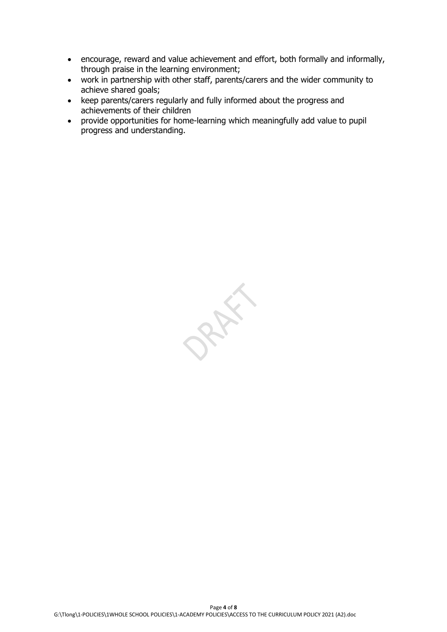- encourage, reward and value achievement and effort, both formally and informally, through praise in the learning environment;
- work in partnership with other staff, parents/carers and the wider community to achieve shared goals;
- keep parents/carers regularly and fully informed about the progress and achievements of their children
- provide opportunities for home-learning which meaningfully add value to pupil progress and understanding.

PRAY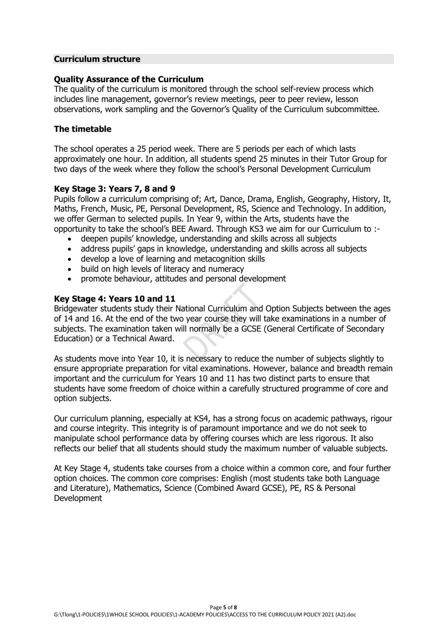# **Curriculum structure**

# **Quality Assurance of the Curriculum**

The quality of the curriculum is monitored through the school self-review process which includes line management, governor's review meetings, peer to peer review, lesson observations, work sampling and the Governor's Quality of the Curriculum subcommittee.

#### **The timetable**

The school operates a 25 period week. There are 5 periods per each of which lasts approximately one hour. In addition, all students spend 25 minutes in their Tutor Group for two days of the week where they follow the school's Personal Development Curriculum

# **Key Stage 3: Years 7, 8 and 9**

Pupils follow a curriculum comprising of; Art, Dance, Drama, English, Geography, History, It, Maths, French, Music, PE, Personal Development, RS, Science and Technology. In addition, we offer German to selected pupils. In Year 9, within the Arts, students have the opportunity to take the school's BEE Award. Through KS3 we aim for our Curriculum to :-

- deepen pupils' knowledge, understanding and skills across all subjects
- address pupils' gaps in knowledge, understanding and skills across all subjects
- develop a love of learning and metacognition skills
- build on high levels of literacy and numeracy
- promote behaviour, attitudes and personal development

# **Key Stage 4: Years 10 and 11**

Bridgewater students study their National Curriculum and Option Subjects between the ages of 14 and 16. At the end of the two year course they will take examinations in a number of subjects. The examination taken will normally be a GCSE (General Certificate of Secondary Education) or a Technical Award.

As students move into Year 10, it is necessary to reduce the number of subjects slightly to ensure appropriate preparation for vital examinations. However, balance and breadth remain important and the curriculum for Years 10 and 11 has two distinct parts to ensure that students have some freedom of choice within a carefully structured programme of core and option subjects.

Our curriculum planning, especially at KS4, has a strong focus on academic pathways, rigour and course integrity. This integrity is of paramount importance and we do not seek to manipulate school performance data by offering courses which are less rigorous. It also reflects our belief that all students should study the maximum number of valuable subjects.

At Key Stage 4, students take courses from a choice within a common core, and four further option choices. The common core comprises: English (most students take both Language and Literature), Mathematics, Science (Combined Award GCSE), PE, RS & Personal Development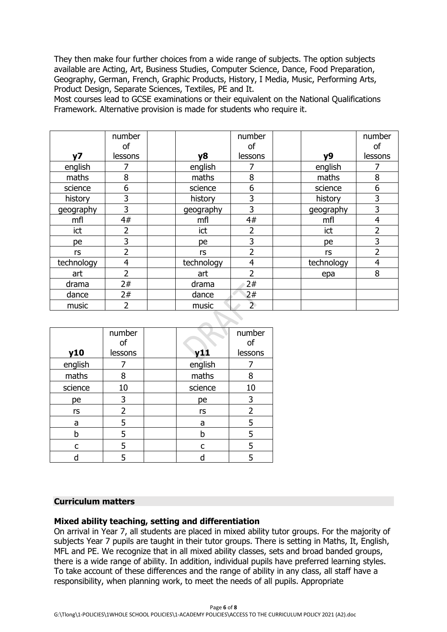They then make four further choices from a wide range of subjects. The option subjects available are Acting, Art, Business Studies, Computer Science, Dance, Food Preparation, Geography, German, French, Graphic Products, History, I Media, Music, Performing Arts, Product Design, Separate Sciences, Textiles, PE and It.

Most courses lead to GCSE examinations or their equivalent on the National Qualifications Framework. Alternative provision is made for students who require it.

|                | number         |            | number         |            | number         |
|----------------|----------------|------------|----------------|------------|----------------|
|                | οf             |            | οf             |            | οf             |
| V <sub>7</sub> | lessons        | <b>y8</b>  | lessons        | <b>v9</b>  | lessons        |
| english        | 7              | english    |                | english    |                |
| maths          | 8              | maths      | 8              | maths      | 8              |
| science        | 6              | science    | 6              | science    | 6              |
| history        | 3              | history    | 3              | history    | 3              |
| geography      | 3              | geography  | 3              | geography  | 3              |
| mfl            | 4#             | mfl        | 4#             | mfl        | $\overline{4}$ |
| ict            | $\overline{2}$ | ict        | 2              | ict        | 2              |
| pe             | 3              | pe         | 3              | pe         | 3              |
| rs             | 2              | rs         | 2              | rs         | 2              |
| technology     | 4              | technology | 4              | technology | $\overline{4}$ |
| art            | $\overline{2}$ | art        | フ              | epa        | 8              |
| drama          | 2#             | drama      | 2#             |            |                |
| dance          | 2#             | dance      | 2#             |            |                |
| music          | 2              | music      | $\overline{2}$ |            |                |

|         | number  |         | number  |
|---------|---------|---------|---------|
|         | of      |         | of      |
| y10     | lessons | y11     | lessons |
| english |         | english |         |
| maths   | 8       | maths   | 8       |
| science | 10      | science | 10      |
| pe      | 3       | pe      | 3       |
| rs      | 2       | rs      | 2       |
| a       | 5       | a       | 5       |
| h       | 5       | h       | 5       |
| c       | 5       | c       | 5       |
|         |         |         |         |

#### **Curriculum matters**

# **Mixed ability teaching, setting and differentiation**

On arrival in Year 7, all students are placed in mixed ability tutor groups. For the majority of subjects Year 7 pupils are taught in their tutor groups. There is setting in Maths, It, English, MFL and PE. We recognize that in all mixed ability classes, sets and broad banded groups, there is a wide range of ability. In addition, individual pupils have preferred learning styles. To take account of these differences and the range of ability in any class, all staff have a responsibility, when planning work, to meet the needs of all pupils. Appropriate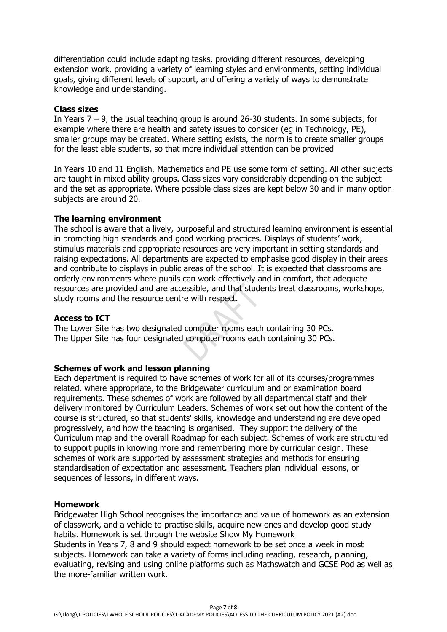differentiation could include adapting tasks, providing different resources, developing extension work, providing a variety of learning styles and environments, setting individual goals, giving different levels of support, and offering a variety of ways to demonstrate knowledge and understanding.

#### **Class sizes**

In Years  $7 - 9$ , the usual teaching group is around 26-30 students. In some subjects, for example where there are health and safety issues to consider (eg in Technology, PE), smaller groups may be created. Where setting exists, the norm is to create smaller groups for the least able students, so that more individual attention can be provided

In Years 10 and 11 English, Mathematics and PE use some form of setting. All other subjects are taught in mixed ability groups. Class sizes vary considerably depending on the subject and the set as appropriate. Where possible class sizes are kept below 30 and in many option subjects are around 20.

# **The learning environment**

The school is aware that a lively, purposeful and structured learning environment is essential in promoting high standards and good working practices. Displays of students' work, stimulus materials and appropriate resources are very important in setting standards and raising expectations. All departments are expected to emphasise good display in their areas and contribute to displays in public areas of the school. It is expected that classrooms are orderly environments where pupils can work effectively and in comfort, that adequate resources are provided and are accessible, and that students treat classrooms, workshops, study rooms and the resource centre with respect.

#### **Access to ICT**

The Lower Site has two designated computer rooms each containing 30 PCs. The Upper Site has four designated computer rooms each containing 30 PCs.

# **Schemes of work and lesson planning**

Each department is required to have schemes of work for all of its courses/programmes related, where appropriate, to the Bridgewater curriculum and or examination board requirements. These schemes of work are followed by all departmental staff and their delivery monitored by Curriculum Leaders. Schemes of work set out how the content of the course is structured, so that students' skills, knowledge and understanding are developed progressively, and how the teaching is organised. They support the delivery of the Curriculum map and the overall Roadmap for each subject. Schemes of work are structured to support pupils in knowing more and remembering more by curricular design. These schemes of work are supported by assessment strategies and methods for ensuring standardisation of expectation and assessment. Teachers plan individual lessons, or sequences of lessons, in different ways.

#### **Homework**

Bridgewater High School recognises the importance and value of homework as an extension of classwork, and a vehicle to practise skills, acquire new ones and develop good study habits. Homework is set through the website Show My Homework Students in Years 7, 8 and 9 should expect homework to be set once a week in most subjects. Homework can take a variety of forms including reading, research, planning, evaluating, revising and using online platforms such as Mathswatch and GCSE Pod as well as the more-familiar written work.